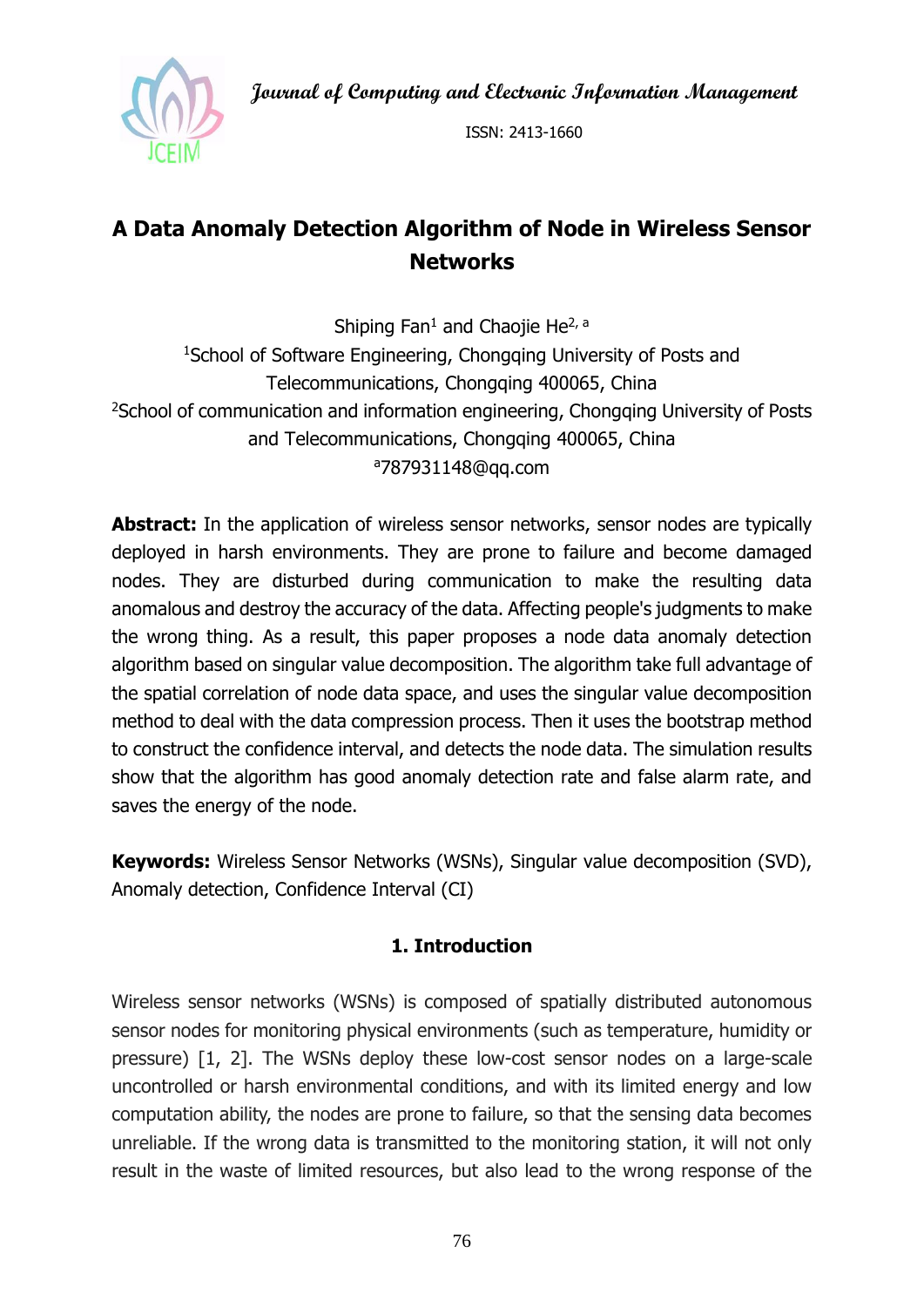**Journal of Computing and Electronic Information Management**



ISSN: 2413-1660

# **A Data Anomaly Detection Algorithm of Node in Wireless Sensor Networks**

Shiping Fan<sup>1</sup> and Chaojie He<sup>2, a</sup> <sup>1</sup>School of Software Engineering, Chongqing University of Posts and Telecommunications, Chongqing 400065, China <sup>2</sup>School of communication and information engineering, Chongqing University of Posts and Telecommunications, Chongqing 400065, China <sup>a</sup>787931148@qq.com

**Abstract:** In the application of wireless sensor networks, sensor nodes are typically deployed in harsh environments. They are prone to failure and become damaged nodes. They are disturbed during communication to make the resulting data anomalous and destroy the accuracy of the data. Affecting people's judgments to make the wrong thing. As a result, this paper proposes a node data anomaly detection algorithm based on singular value decomposition. The algorithm take full advantage of the spatial correlation of node data space, and uses the singular value decomposition method to deal with the data compression process. Then it uses the bootstrap method to construct the confidence interval, and detects the node data. The simulation results show that the algorithm has good anomaly detection rate and false alarm rate, and saves the energy of the node.

**Keywords:** Wireless Sensor Networks (WSNs), Singular value decomposition (SVD), Anomaly detection, Confidence Interval (CI)

## **1. Introduction**

Wireless sensor networks (WSNs) is composed of spatially distributed autonomous sensor nodes for monitoring physical environments (such as temperature, humidity or pressure) [1, 2]. The WSNs deploy these low-cost sensor nodes on a large-scale uncontrolled or harsh environmental conditions, and with its limited energy and low computation ability, the nodes are prone to failure, so that the sensing data becomes unreliable. If the wrong data is transmitted to the monitoring station, it will not only result in the waste of limited resources, but also lead to the wrong response of the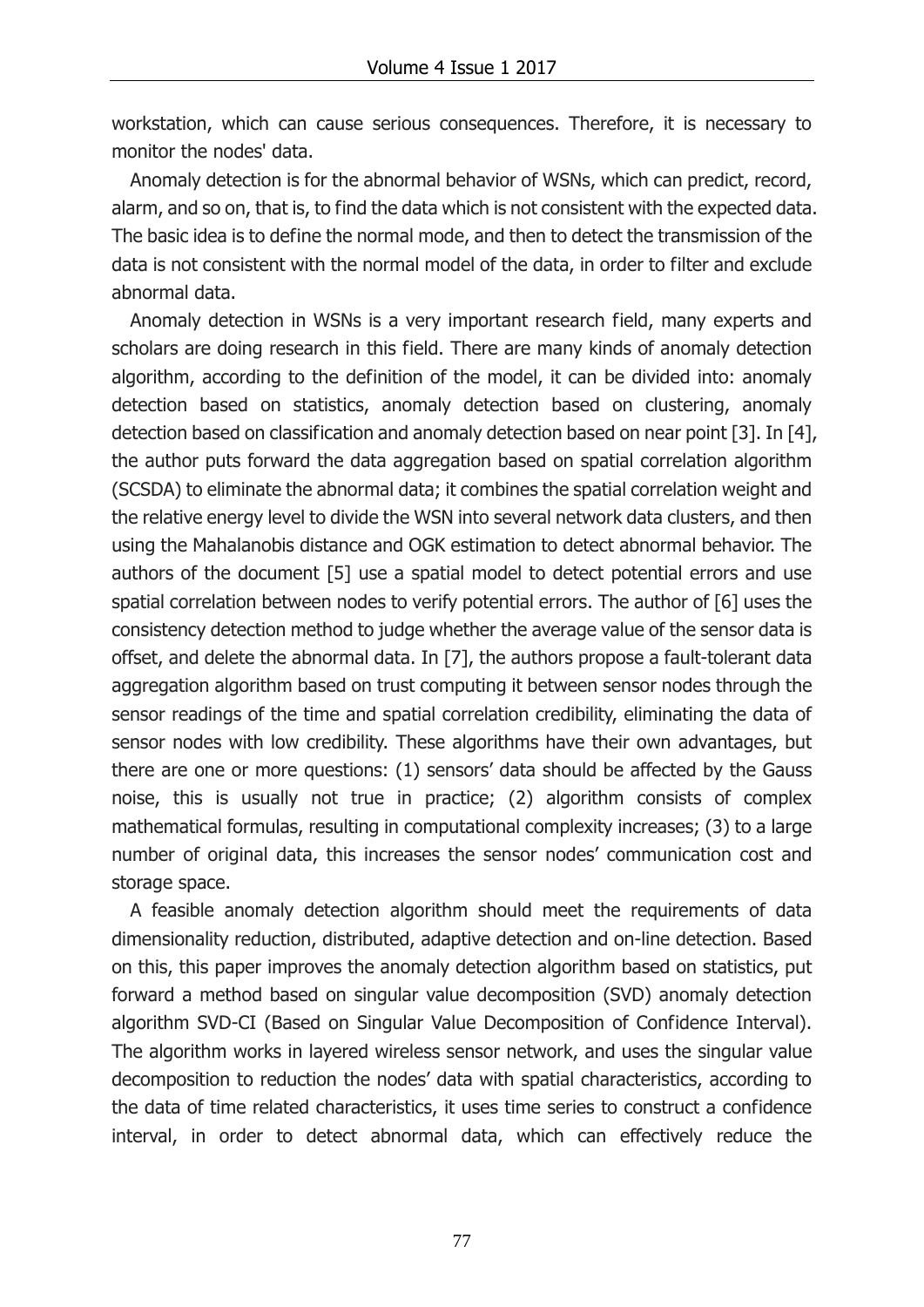workstation, which can cause serious consequences. Therefore, it is necessary to monitor the nodes' data.

Anomaly detection is for the abnormal behavior of WSNs, which can predict, record, alarm, and so on, that is, to find the data which is not consistent with the expected data. The basic idea is to define the normal mode, and then to detect the transmission of the data is not consistent with the normal model of the data, in order to filter and exclude abnormal data.

Anomaly detection in WSNs is a very important research field, many experts and scholars are doing research in this field. There are many kinds of anomaly detection algorithm, according to the definition of the model, it can be divided into: anomaly detection based on statistics, anomaly detection based on clustering, anomaly detection based on classification and anomaly detection based on near point [3]. In [4], the author puts forward the data aggregation based on spatial correlation algorithm (SCSDA) to eliminate the abnormal data; it combines the spatial correlation weight and the relative energy level to divide the WSN into several network data clusters, and then using the Mahalanobis distance and OGK estimation to detect abnormal behavior. The authors of the document [5] use a spatial model to detect potential errors and use spatial correlation between nodes to verify potential errors. The author of [6] uses the consistency detection method to judge whether the average value of the sensor data is offset, and delete the abnormal data. In [7], the authors propose a fault-tolerant data aggregation algorithm based on trust computing it between sensor nodes through the sensor readings of the time and spatial correlation credibility, eliminating the data of sensor nodes with low credibility. These algorithms have their own advantages, but there are one or more questions: (1) sensors' data should be affected by the Gauss noise, this is usually not true in practice; (2) algorithm consists of complex mathematical formulas, resulting in computational complexity increases; (3) to a large number of original data, this increases the sensor nodes' communication cost and storage space.

A feasible anomaly detection algorithm should meet the requirements of data dimensionality reduction, distributed, adaptive detection and on-line detection. Based on this, this paper improves the anomaly detection algorithm based on statistics, put forward a method based on singular value decomposition (SVD) anomaly detection algorithm SVD-CI (Based on Singular Value Decomposition of Confidence Interval). The algorithm works in layered wireless sensor network, and uses the singular value decomposition to reduction the nodes' data with spatial characteristics, according to the data of time related characteristics, it uses time series to construct a confidence interval, in order to detect abnormal data, which can effectively reduce the

77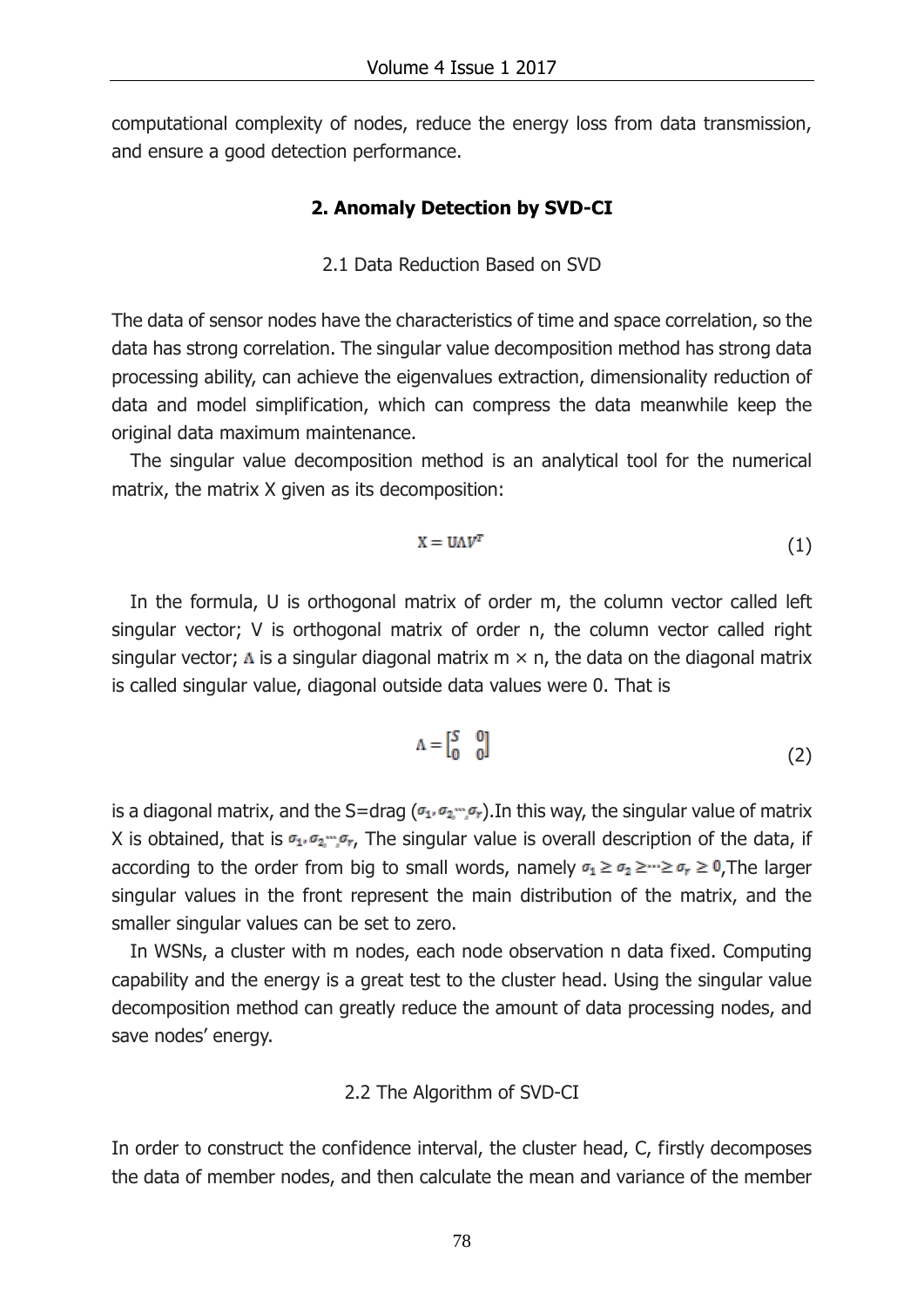computational complexity of nodes, reduce the energy loss from data transmission, and ensure a good detection performance.

### **2. Anomaly Detection by SVD-CI**

#### 2.1 Data Reduction Based on SVD

The data of sensor nodes have the characteristics of time and space correlation, so the data has strong correlation. The singular value decomposition method has strong data processing ability, can achieve the eigenvalues extraction, dimensionality reduction of data and [model simplification,](http://www.baidu.com/link?url=OyOVv339b6TciREiYDMJIUGb2nUEaPhlZKQPxTbBugand16fsqnsqn9EnGqHNDJr4rnl70LbfSlMoigBWfmt1ObseDKEiSTikYxfNguVgDjRUcGF97zaY_TaPYK7S-3R) which can compress the data meanwhile keep the original data maximum maintenance.

The singular value decomposition method is an analytical tool for the numerical matrix, the matrix X given as its decomposition:

$$
X = U \Lambda V^T \tag{1}
$$

In the formula, U is orthogonal matrix of order m, the column vector called left singular vector; V is orthogonal matrix of order n, the column vector called right singular vector;  $\Lambda$  is a singular diagonal matrix m  $\times$  n, the data on the diagonal matrix is called singular value, diagonal outside data values were 0. That is

$$
\Lambda = \begin{bmatrix} S & 0 \\ 0 & 0 \end{bmatrix} \tag{2}
$$

is a diagonal matrix, and the S=drag ( $\sigma_1$ ,  $\sigma_2$ ,  $\sigma_r$ ). In this way, the singular value of matrix X is obtained, that is  $\sigma_1$ ,  $\sigma_2$ ,  $\sigma_r$ , The singular value is overall description of the data, if according to the order from big to small words, namely  $\sigma_1 \ge \sigma_2 \ge \cdots \ge \sigma_r \ge 0$ , The larger singular values in the front represent the main distribution of the matrix, and the smaller singular values can be set to zero.

In WSNs, a cluster with m nodes, each node observation n data fixed. Computing capability and the energy is a great test to the cluster head. Using the singular value decomposition method can greatly reduce the amount of data processing nodes, and save nodes' energy.

#### 2.2 The Algorithm of SVD-CI

In order to construct the confidence interval, the cluster head, C, firstly decomposes the data of member nodes, and then calculate the mean and variance of the member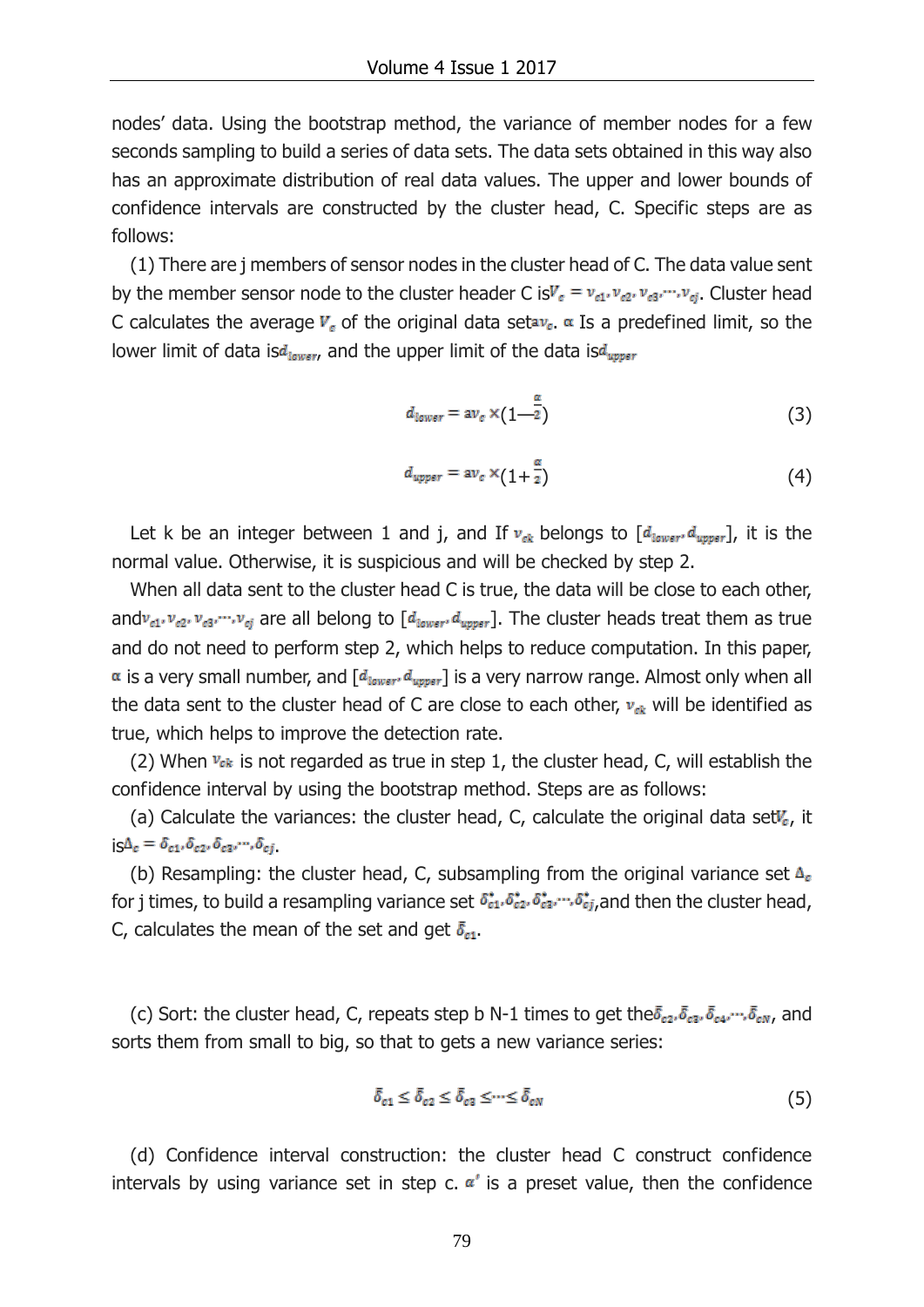nodes' data. Using the bootstrap method, the variance of member nodes for a few seconds sampling to build a series of data sets. The data sets obtained in this way also has an approximate distribution of real data values. The upper and lower bounds of confidence intervals are constructed by the cluster head, C. Specific steps are as follows:

(1) There are j members of sensor nodes in the cluster head of C. The data value sent by the member sensor node to the cluster header C is  $V_c = v_{c1}, v_{c2}, v_{c3}, \dots, v_{cj}$ . Cluster head C calculates the average  $V_c$  of the original data setav<sub>c</sub>.  $\alpha$  Is a predefined limit, so the lower limit of data is  $d_{lower}$ , and the upper limit of the data is  $d_{upper}$ 

$$
d_{lower} = \operatorname{av}_c \times (1 - \frac{\alpha}{2}) \tag{3}
$$

$$
d_{upper} = \operatorname{av}_c \times (1 + \frac{\alpha}{2}) \tag{4}
$$

Let k be an integer between 1 and j, and If  $v_{ck}$  belongs to  $[d_{lower}, d_{upper}]$ , it is the normal value. Otherwise, it is suspicious and will be checked by step 2.

When all data sent to the cluster head C is true, the data will be close to each other, and  $v_{c1}, v_{c2}, v_{c3}, \dots, v_{cj}$  are all belong to  $[d_{lower}, d_{upper}]$ . The cluster heads treat them as true and do not need to perform step 2, which helps to reduce computation. In this paper,  $\alpha$  is a very small number, and  $[d_{lower}, d_{upper}]$  is a very narrow range. Almost only when all the data sent to the cluster head of C are close to each other,  $v_{ck}$  will be identified as true, which helps to improve the detection rate.

(2) When  $v_{ck}$  is not regarded as true in step 1, the cluster head, C, will establish the confidence interval by using the bootstrap method. Steps are as follows:

(a) Calculate the variances: the cluster head, C, calculate the original data set $V_c$ , it  $i_S \Delta_c = \delta_{c1}, \delta_{c2}, \delta_{c3}, \cdots, \delta_{cj}.$ 

(b) Resampling: the cluster head, C, subsampling from the original variance set  $\Delta_c$ for j times, to build a resampling variance set  $\delta_{c1}^*, \delta_{c2}^*, \delta_{c3}^*, \ldots, \delta_{cj}^*$ , and then the cluster head, C, calculates the mean of the set and get  $\bar{\delta}_{c1}$ .

(c) Sort: the cluster head, C, repeats step b N-1 times to get the  $\bar{\delta}_{c2}$ ,  $\bar{\delta}_{c3}$ ,  $\bar{\delta}_{c4}$ ,  $\cdots$ ,  $\bar{\delta}_{cN}$ , and sorts them from small to big, so that to gets a new variance series:

$$
\bar{\delta}_{c1} \le \bar{\delta}_{c2} \le \bar{\delta}_{c3} \le \dots \le \bar{\delta}_{cN} \tag{5}
$$

(d) Confidence interval construction: the cluster head C construct confidence intervals by using variance set in step c.  $\alpha'$  is a preset value, then the confidence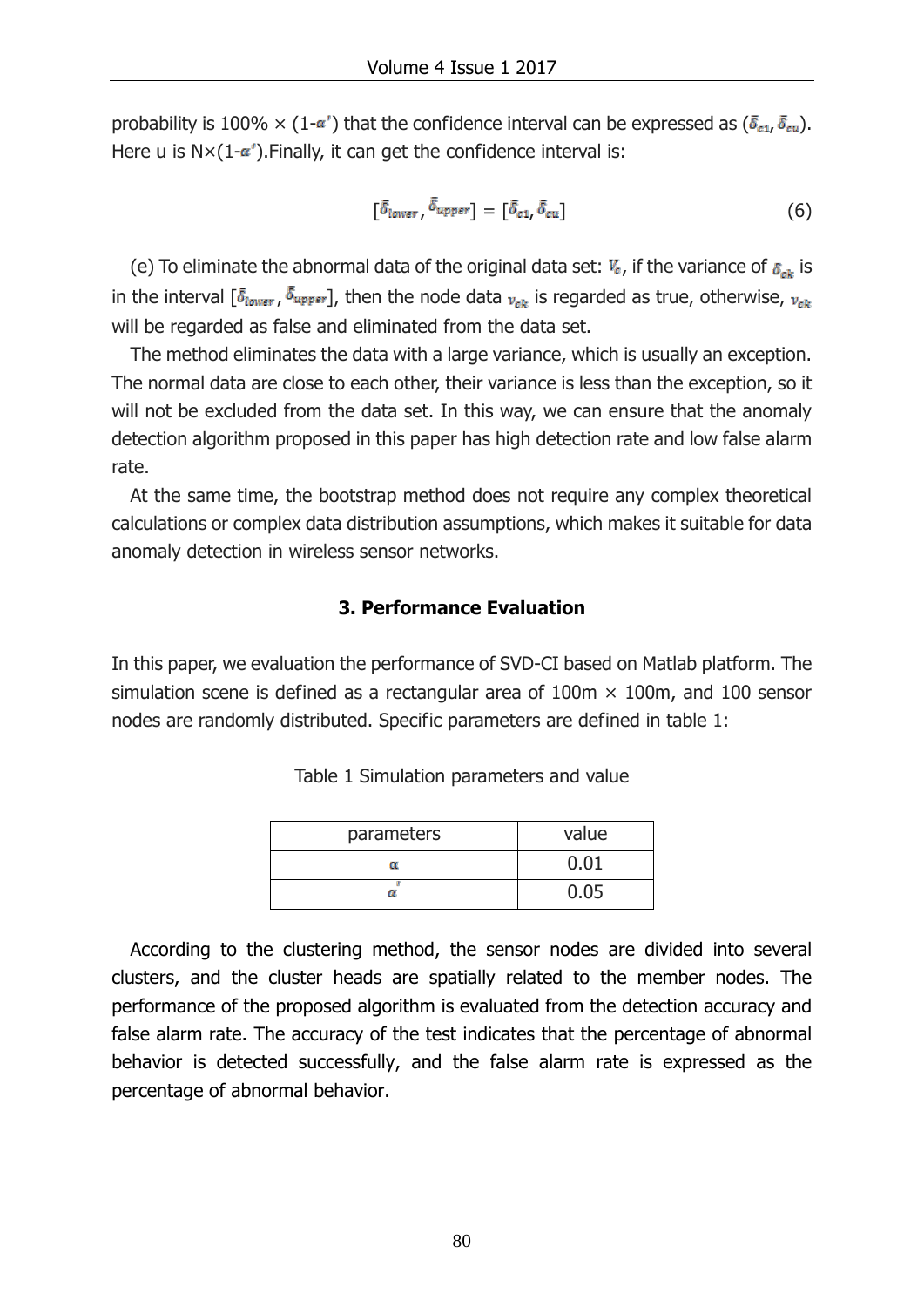probability is 100%  $\times$  (1- $\alpha'$ ) that the confidence interval can be expressed as ( $\bar{\delta}_{c1}$ ,  $\bar{\delta}_{cu}$ ). Here u is  $N \times (1-\alpha')$ . Finally, it can get the confidence interval is:

$$
\left[\bar{\delta}_{lower}, \bar{\delta}_{upper}\right] = \left[\bar{\delta}_{c1}, \bar{\delta}_{cu}\right] \tag{6}
$$

(e) To eliminate the abnormal data of the original data set:  $V_c$ , if the variance of  $\delta_{ck}$  is in the interval  $[\bar{\delta}_{lower}, \bar{\delta}_{upper}]$ , then the node data  $v_{ab}$  is regarded as true, otherwise,  $v_{ab}$ will be regarded as false and eliminated from the data set.

The method eliminates the data with a large variance, which is usually an exception. The normal data are close to each other, their variance is less than the exception, so it will not be excluded from the data set. In this way, we can ensure that the anomaly detection algorithm proposed in this paper has high detection rate and low false alarm rate.

At the same time, the bootstrap method does not require any complex theoretical calculations or complex data distribution assumptions, which makes it suitable for data anomaly detection in wireless sensor networks.

## **3. Performance Evaluation**

In this paper, we evaluation the performance of SVD-CI based on Matlab platform. The simulation scene is defined as a rectangular area of  $100m \times 100m$ , and  $100$  sensor nodes are randomly distributed. Specific parameters are defined in table 1:

| parameters | value |
|------------|-------|
| α          | 0.01  |
|            | 0.05  |

Table 1 Simulation parameters and value

According to the clustering method, the sensor nodes are divided into several clusters, and the cluster heads are spatially related to the member nodes. The performance of the proposed algorithm is evaluated from the detection accuracy and false alarm rate. The accuracy of the test indicates that the percentage of abnormal behavior is detected successfully, and the false alarm rate is expressed as the percentage of abnormal behavior.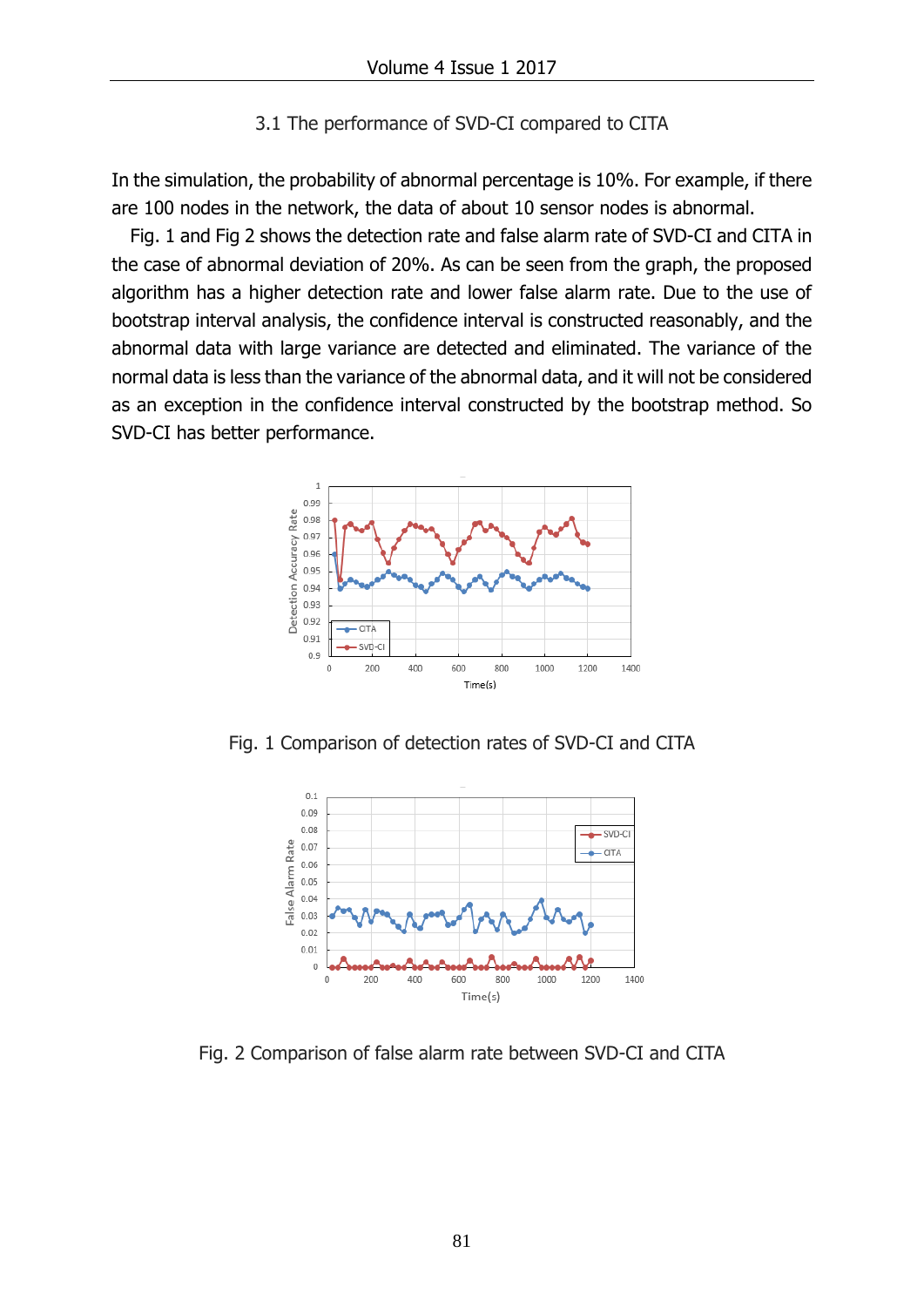#### 3.1 The performance of SVD-CI compared to CITA

In the simulation, the probability of abnormal percentage is 10%. For example, if there are 100 nodes in the network, the data of about 10 sensor nodes is abnormal.

Fig. 1 and Fig 2 shows the detection rate and false alarm rate of SVD-CI and CITA in the case of abnormal deviation of 20%. As can be seen from the graph, the proposed algorithm has a higher detection rate and lower false alarm rate. Due to the use of bootstrap interval analysis, the confidence interval is constructed reasonably, and the abnormal data with large variance are detected and eliminated. The variance of the normal data is less than the variance of the abnormal data, and it will not be considered as an exception in the confidence interval constructed by the bootstrap method. So SVD-CI has better performance.



Fig. 1 Comparison of detection rates of SVD-CI and CITA



Fig. 2 Comparison of false alarm rate between SVD-CI and CITA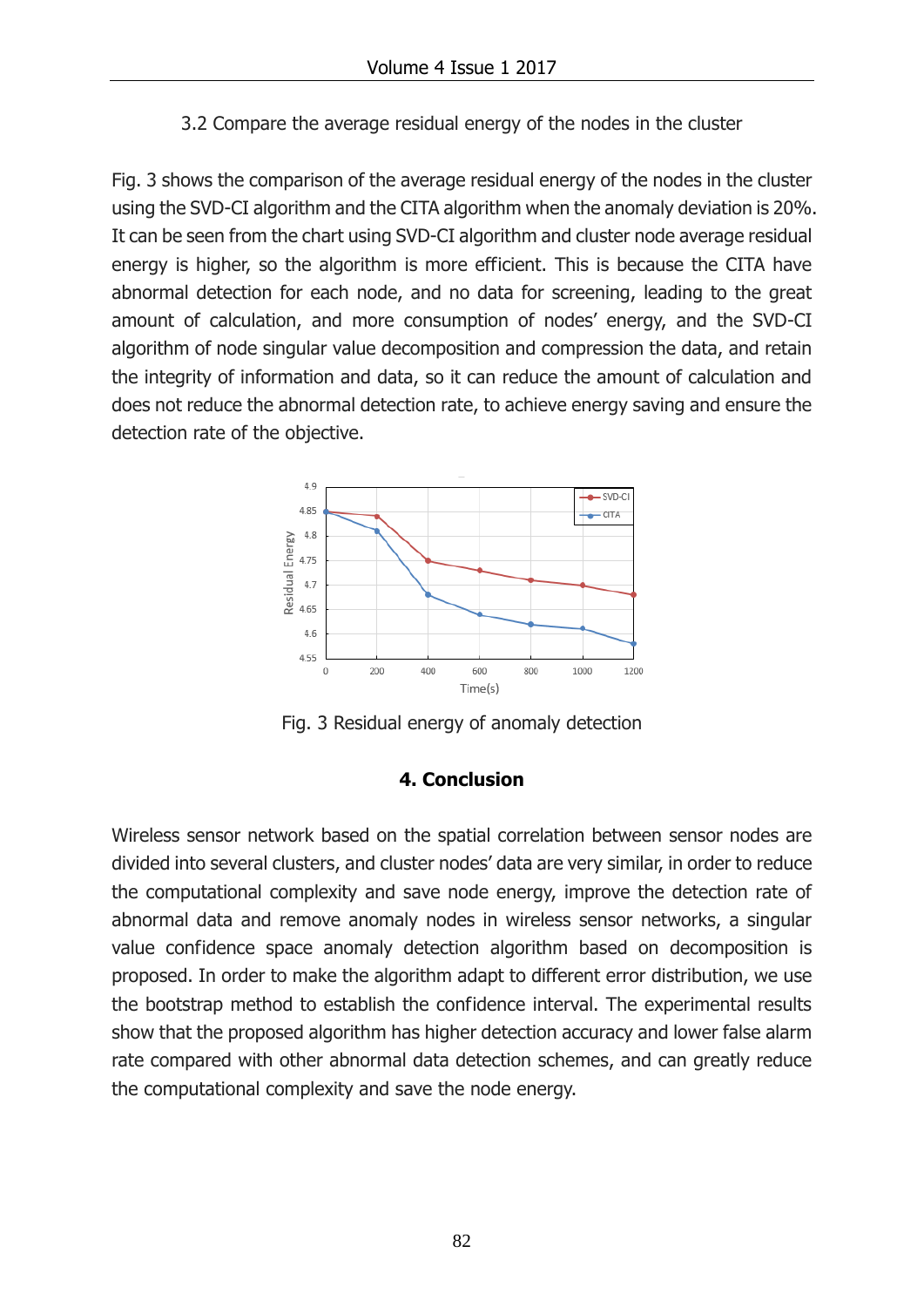3.2 Compare the average residual energy of the nodes in the cluster

Fig. 3 shows the comparison of the average residual energy of the nodes in the cluster using the SVD-CI algorithm and the CITA algorithm when the anomaly deviation is 20%. It can be seen from the chart using SVD-CI algorithm and cluster node average residual energy is higher, so the algorithm is more efficient. This is because the CITA have abnormal detection for each node, and no data for screening, leading to the great amount of calculation, and more consumption of nodes' energy, and the SVD-CI algorithm of node singular value decomposition and compression the data, and retain the integrity of information and data, so it can reduce the amount of calculation and does not reduce the abnormal detection rate, to achieve energy saving and ensure the detection rate of the objective.



Fig. 3 Residual energy of anomaly detection

# **4. Conclusion**

Wireless sensor network based on the spatial correlation between sensor nodes are divided into several clusters, and cluster nodes' data are very similar, in order to reduce the computational complexity and save node energy, improve the detection rate of abnormal data and remove anomaly nodes in wireless sensor networks, a singular value confidence space anomaly detection algorithm based on decomposition is proposed. In order to make the algorithm adapt to different error distribution, we use the bootstrap method to establish the confidence interval. The experimental results show that the proposed algorithm has higher detection accuracy and lower false alarm rate compared with other abnormal data detection schemes, and can greatly reduce the computational complexity and save the node energy.